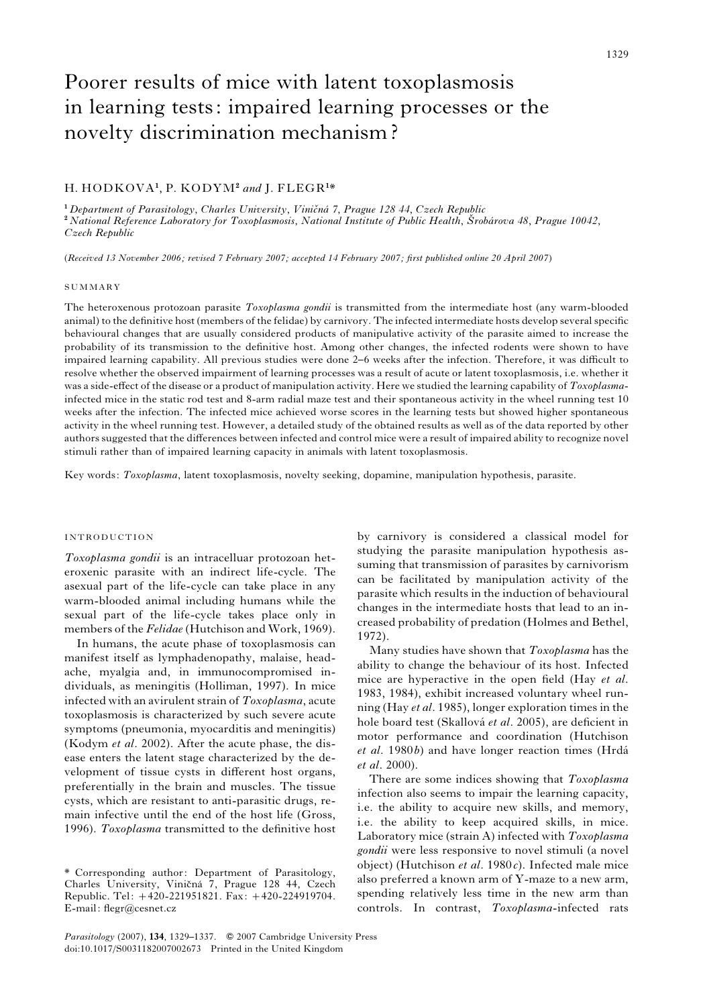# Poorer results of mice with latent toxoplasmosis in learning tests: impaired learning processes or the novelty discrimination mechanism ?

# H. HODKOVA<sup>1</sup>, P. KODYM<sup>2</sup> and J. FLEGR<sup>1\*</sup>

<sup>1</sup> Department of Parasitology, Charles University, Viničná 7, Prague 128 44, Czech Republic <sup>2</sup> National Reference Laboratory for Toxoplasmosis, National Institute of Public Health, Šrobárova 48, Prague 10042, Czech Republic

(Received 13 November 2006; revised 7 February 2007; accepted 14 February 2007; first published online 20 April 2007)

#### **SUMMARY**

The heteroxenous protozoan parasite Toxoplasma gondii is transmitted from the intermediate host (any warm-blooded animal) to the definitive host (members of the felidae) by carnivory. The infected intermediate hosts develop several specific behavioural changes that are usually considered products of manipulative activity of the parasite aimed to increase the probability of its transmission to the definitive host. Among other changes, the infected rodents were shown to have impaired learning capability. All previous studies were done 2–6 weeks after the infection. Therefore, it was difficult to resolve whether the observed impairment of learning processes was a result of acute or latent toxoplasmosis, i.e. whether it was a side-effect of the disease or a product of manipulation activity. Here we studied the learning capability of Toxoplasmainfected mice in the static rod test and 8-arm radial maze test and their spontaneous activity in the wheel running test 10 weeks after the infection. The infected mice achieved worse scores in the learning tests but showed higher spontaneous activity in the wheel running test. However, a detailed study of the obtained results as well as of the data reported by other authors suggested that the differences between infected and control mice were a result of impaired ability to recognize novel stimuli rather than of impaired learning capacity in animals with latent toxoplasmosis.

Key words: Toxoplasma, latent toxoplasmosis, novelty seeking, dopamine, manipulation hypothesis, parasite.

## INTRODUCTION

Toxoplasma gondii is an intracelluar protozoan heteroxenic parasite with an indirect life-cycle. The asexual part of the life-cycle can take place in any warm-blooded animal including humans while the sexual part of the life-cycle takes place only in members of the *Felidae* (Hutchison and Work, 1969).

In humans, the acute phase of toxoplasmosis can manifest itself as lymphadenopathy, malaise, headache, myalgia and, in immunocompromised individuals, as meningitis (Holliman, 1997). In mice infected with an avirulent strain of Toxoplasma, acute toxoplasmosis is characterized by such severe acute symptoms (pneumonia, myocarditis and meningitis) (Kodym et al. 2002). After the acute phase, the disease enters the latent stage characterized by the development of tissue cysts in different host organs, preferentially in the brain and muscles. The tissue cysts, which are resistant to anti-parasitic drugs, remain infective until the end of the host life (Gross, 1996). Toxoplasma transmitted to the definitive host

by carnivory is considered a classical model for studying the parasite manipulation hypothesis assuming that transmission of parasites by carnivorism can be facilitated by manipulation activity of the parasite which results in the induction of behavioural changes in the intermediate hosts that lead to an increased probability of predation (Holmes and Bethel, 1972).

Many studies have shown that *Toxoplasma* has the ability to change the behaviour of its host. Infected mice are hyperactive in the open field (Hay et al. 1983, 1984), exhibit increased voluntary wheel running (Hay et al. 1985), longer exploration times in the hole board test (Skallová et al. 2005), are deficient in motor performance and coordination (Hutchison  $et$  al. 1980 $b$ ) and have longer reaction times (Hrdá et al. 2000).

There are some indices showing that Toxoplasma infection also seems to impair the learning capacity, i.e. the ability to acquire new skills, and memory, i.e. the ability to keep acquired skills, in mice. Laboratory mice (strain A) infected with Toxoplasma gondii were less responsive to novel stimuli (a novel object) (Hutchison *et al.* 1980 $c$ ). Infected male mice also preferred a known arm of Y-maze to a new arm, spending relatively less time in the new arm than controls. In contrast, Toxoplasma-infected rats

<sup>\*</sup> Corresponding author: Department of Parasitology, Charles University, Viničná 7, Prague 128 44, Czech Republic. Tel: +420-221951821. Fax: +420-224919704. E-mail: flegr@cesnet.cz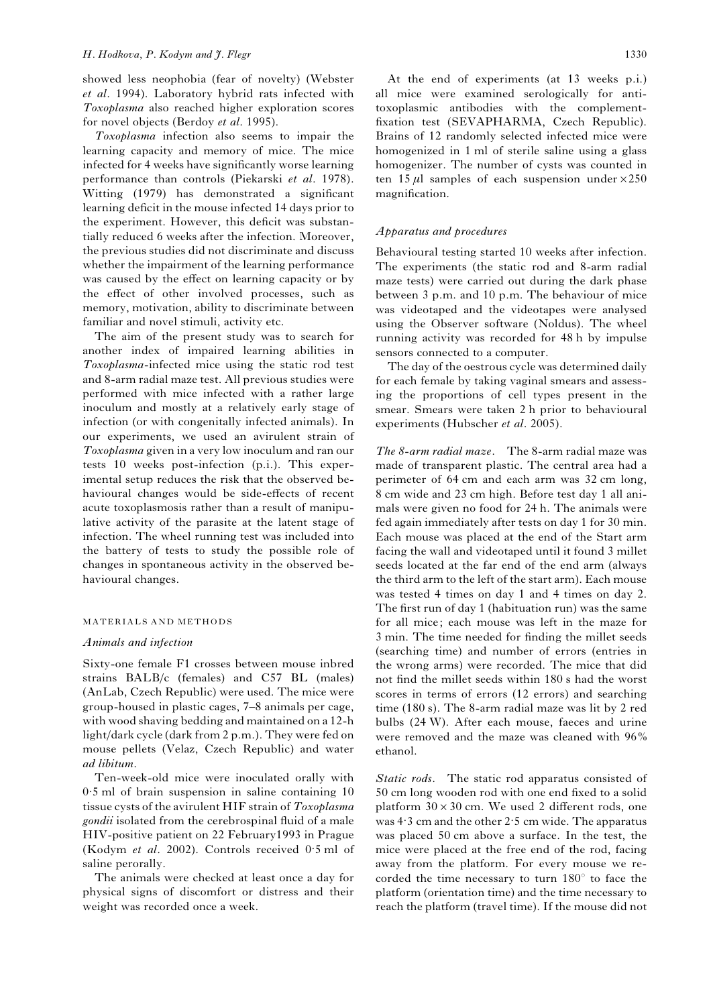showed less neophobia (fear of novelty) (Webster et al. 1994). Laboratory hybrid rats infected with Toxoplasma also reached higher exploration scores for novel objects (Berdoy et al. 1995).

Toxoplasma infection also seems to impair the learning capacity and memory of mice. The mice infected for 4 weeks have significantly worse learning performance than controls (Piekarski et al. 1978). Witting (1979) has demonstrated a significant learning deficit in the mouse infected 14 days prior to the experiment. However, this deficit was substantially reduced 6 weeks after the infection. Moreover, the previous studies did not discriminate and discuss whether the impairment of the learning performance was caused by the effect on learning capacity or by the effect of other involved processes, such as memory, motivation, ability to discriminate between familiar and novel stimuli, activity etc.

The aim of the present study was to search for another index of impaired learning abilities in Toxoplasma-infected mice using the static rod test and 8-arm radial maze test. All previous studies were performed with mice infected with a rather large inoculum and mostly at a relatively early stage of infection (or with congenitally infected animals). In our experiments, we used an avirulent strain of Toxoplasma given in a very low inoculum and ran our tests 10 weeks post-infection (p.i.). This experimental setup reduces the risk that the observed behavioural changes would be side-effects of recent acute toxoplasmosis rather than a result of manipulative activity of the parasite at the latent stage of infection. The wheel running test was included into the battery of tests to study the possible role of changes in spontaneous activity in the observed behavioural changes.

# MATERIALS AND METHODS

#### Animals and infection

Sixty-one female F1 crosses between mouse inbred strains BALB/c (females) and C57 BL (males) (AnLab, Czech Republic) were used. The mice were group-housed in plastic cages, 7–8 animals per cage, with wood shaving bedding and maintained on a 12-h light/dark cycle (dark from 2 p.m.). They were fed on mouse pellets (Velaz, Czech Republic) and water ad libitum.

Ten-week-old mice were inoculated orally with 0. 5 ml of brain suspension in saline containing 10 tissue cysts of the avirulent HIF strain of Toxoplasma gondii isolated from the cerebrospinal fluid of a male HIV-positive patient on 22 February1993 in Prague (Kodym et al. 2002). Controls received 0. 5 ml of saline perorally.

The animals were checked at least once a day for physical signs of discomfort or distress and their weight was recorded once a week.

At the end of experiments (at 13 weeks p.i.) all mice were examined serologically for antitoxoplasmic antibodies with the complementfixation test (SEVAPHARMA, Czech Republic). Brains of 12 randomly selected infected mice were homogenized in 1 ml of sterile saline using a glass homogenizer. The number of cysts was counted in ten 15  $\mu$ l samples of each suspension under  $\times$ 250 magnification.

# Apparatus and procedures

Behavioural testing started 10 weeks after infection. The experiments (the static rod and 8-arm radial maze tests) were carried out during the dark phase between 3 p.m. and 10 p.m. The behaviour of mice was videotaped and the videotapes were analysed using the Observer software (Noldus). The wheel running activity was recorded for 48 h by impulse sensors connected to a computer.

The day of the oestrous cycle was determined daily for each female by taking vaginal smears and assessing the proportions of cell types present in the smear. Smears were taken 2 h prior to behavioural experiments (Hubscher et al. 2005).

The 8-arm radial maze. The 8-arm radial maze was made of transparent plastic. The central area had a perimeter of 64 cm and each arm was 32 cm long, 8 cm wide and 23 cm high. Before test day 1 all animals were given no food for 24 h. The animals were fed again immediately after tests on day 1 for 30 min. Each mouse was placed at the end of the Start arm facing the wall and videotaped until it found 3 millet seeds located at the far end of the end arm (always the third arm to the left of the start arm). Each mouse was tested 4 times on day 1 and 4 times on day 2. The first run of day 1 (habituation run) was the same for all mice; each mouse was left in the maze for 3 min. The time needed for finding the millet seeds (searching time) and number of errors (entries in the wrong arms) were recorded. The mice that did not find the millet seeds within 180 s had the worst scores in terms of errors (12 errors) and searching time (180 s). The 8-arm radial maze was lit by 2 red bulbs (24 W). After each mouse, faeces and urine were removed and the maze was cleaned with 96% ethanol.

Static rods. The static rod apparatus consisted of 50 cm long wooden rod with one end fixed to a solid platform  $30 \times 30$  cm. We used 2 different rods, one was 4. 3 cm and the other 2. 5 cm wide. The apparatus was placed 50 cm above a surface. In the test, the mice were placed at the free end of the rod, facing away from the platform. For every mouse we recorded the time necessary to turn  $180^{\circ}$  to face the platform (orientation time) and the time necessary to reach the platform (travel time). If the mouse did not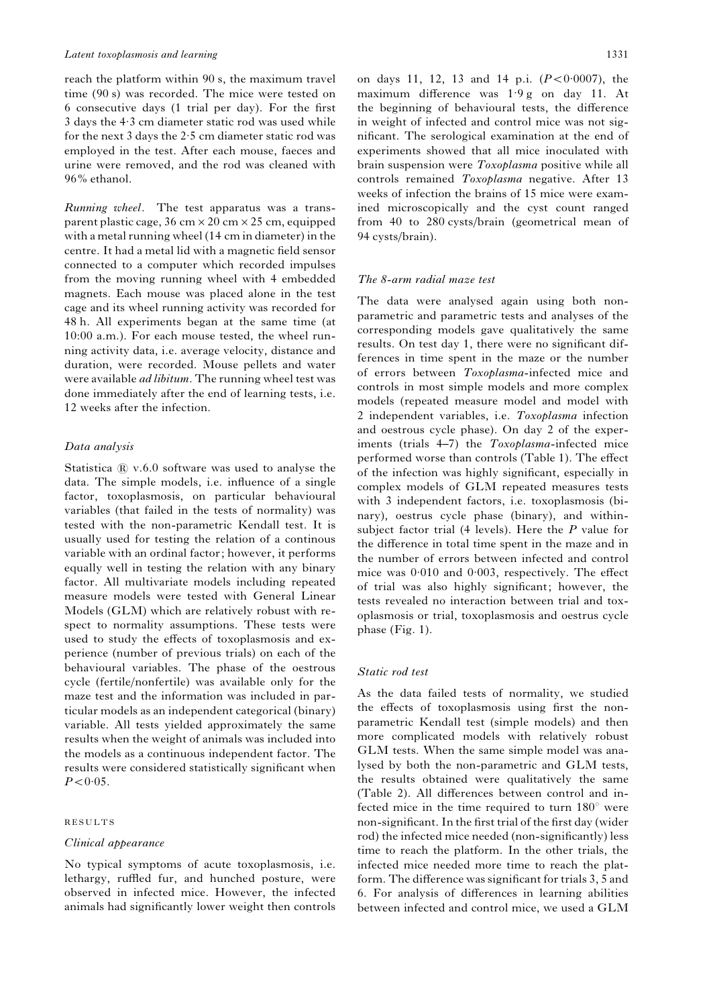reach the platform within 90 s, the maximum travel time (90 s) was recorded. The mice were tested on 6 consecutive days (1 trial per day). For the first 3 days the 4. 3 cm diameter static rod was used while for the next 3 days the 2. 5 cm diameter static rod was employed in the test. After each mouse, faeces and urine were removed, and the rod was cleaned with 96% ethanol.

Running wheel. The test apparatus was a transparent plastic cage,  $36 \text{ cm} \times 20 \text{ cm} \times 25 \text{ cm}$ , equipped with a metal running wheel (14 cm in diameter) in the centre. It had a metal lid with a magnetic field sensor connected to a computer which recorded impulses from the moving running wheel with 4 embedded magnets. Each mouse was placed alone in the test cage and its wheel running activity was recorded for 48 h. All experiments began at the same time (at 10:00 a.m.). For each mouse tested, the wheel running activity data, i.e. average velocity, distance and duration, were recorded. Mouse pellets and water were available ad libitum. The running wheel test was done immediately after the end of learning tests, i.e. 12 weeks after the infection.

# Data analysis

Statistica  $\mathbb R$  v.6.0 software was used to analyse the data. The simple models, i.e. influence of a single factor, toxoplasmosis, on particular behavioural variables (that failed in the tests of normality) was tested with the non-parametric Kendall test. It is usually used for testing the relation of a continous variable with an ordinal factor; however, it performs equally well in testing the relation with any binary factor. All multivariate models including repeated measure models were tested with General Linear Models (GLM) which are relatively robust with respect to normality assumptions. These tests were used to study the effects of toxoplasmosis and experience (number of previous trials) on each of the behavioural variables. The phase of the oestrous cycle (fertile/nonfertile) was available only for the maze test and the information was included in particular models as an independent categorical (binary) variable. All tests yielded approximately the same results when the weight of animals was included into the models as a continuous independent factor. The results were considered statistically significant when  $P < 0.05$ .

# RESULTS

#### Clinical appearance

No typical symptoms of acute toxoplasmosis, i.e. lethargy, ruffled fur, and hunched posture, were observed in infected mice. However, the infected animals had significantly lower weight then controls

on days 11, 12, 13 and 14 p.i.  $(P < 0.0007)$ , the maximum difference was 1. 9 g on day 11. At the beginning of behavioural tests, the difference in weight of infected and control mice was not significant. The serological examination at the end of experiments showed that all mice inoculated with brain suspension were Toxoplasma positive while all controls remained Toxoplasma negative. After 13 weeks of infection the brains of 15 mice were examined microscopically and the cyst count ranged from 40 to 280 cysts/brain (geometrical mean of 94 cysts/brain).

## The 8-arm radial maze test

The data were analysed again using both nonparametric and parametric tests and analyses of the corresponding models gave qualitatively the same results. On test day 1, there were no significant differences in time spent in the maze or the number of errors between Toxoplasma-infected mice and controls in most simple models and more complex models (repeated measure model and model with 2 independent variables, i.e. Toxoplasma infection and oestrous cycle phase). On day 2 of the experiments (trials 4–7) the Toxoplasma-infected mice performed worse than controls (Table 1). The effect of the infection was highly significant, especially in complex models of GLM repeated measures tests with 3 independent factors, i.e. toxoplasmosis (binary), oestrus cycle phase (binary), and withinsubject factor trial  $(4 \text{ levels})$ . Here the P value for the difference in total time spent in the maze and in the number of errors between infected and control mice was 0.010 and 0.003, respectively. The effect of trial was also highly significant; however, the tests revealed no interaction between trial and toxoplasmosis or trial, toxoplasmosis and oestrus cycle phase (Fig. 1).

# Static rod test

As the data failed tests of normality, we studied the effects of toxoplasmosis using first the nonparametric Kendall test (simple models) and then more complicated models with relatively robust GLM tests. When the same simple model was analysed by both the non-parametric and GLM tests, the results obtained were qualitatively the same (Table 2). All differences between control and infected mice in the time required to turn  $180^\circ$  were non-significant. In the first trial of the first day (wider rod) the infected mice needed (non-significantly) less time to reach the platform. In the other trials, the infected mice needed more time to reach the platform. The difference was significant for trials 3, 5 and 6. For analysis of differences in learning abilities between infected and control mice, we used a GLM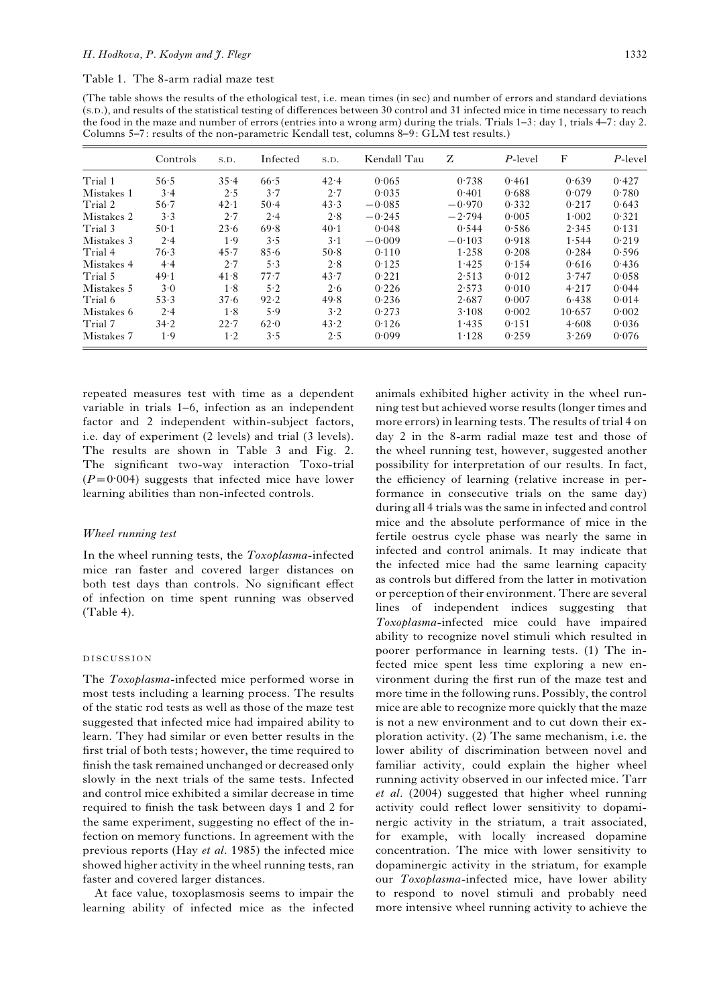Table 1. The 8-arm radial maze test

(The table shows the results of the ethological test, i.e. mean times (in sec) and number of errors and standard deviations (S.D.), and results of the statistical testing of differences between 30 control and 31 infected mice in time necessary to reach the food in the maze and number of errors (entries into a wrong arm) during the trials. Trials 1–3: day 1, trials 4–7: day 2. Columns 5–7: results of the non-parametric Kendall test, columns 8–9: GLM test results.)

|            | Controls | S.D.       | Infected | S.D.        | Kendall Tau | Z        | $P$ -level | F      | $P$ -level |  |
|------------|----------|------------|----------|-------------|-------------|----------|------------|--------|------------|--|
| Trial 1    | 56.5     | 35.4       | 66.5     | 42.4        | 0.065       | 0.738    | 0.461      | 0.639  | 0.427      |  |
| Mistakes 1 | 3.4      | 2.5        | 3.7      | 2.7         | 0.035       | 0.401    | 0.688      | 0.079  | 0.780      |  |
| Trial 2    | 56.7     | 42.1       | $50-4$   | 43.3        | $-0.085$    | $-0.970$ | 0.332      | 0.217  | 0.643      |  |
| Mistakes 2 | 3.3      | 2.7        | 2.4      | 2.8         | $-0.245$    | $-2.794$ | 0.005      | 1.002  | 0.321      |  |
| Trial 3    | $50-1$   | 23.6       | 69.8     | 40.1        | 0.048       | 0.544    | 0.586      | 2.345  | 0.131      |  |
| Mistakes 3 | 2.4      | 1.9        | 3.5      | $3 \cdot 1$ | $-0.009$    | $-0.103$ | 0.918      | 1.544  | 0.219      |  |
| Trial 4    | 76.3     | 45.7       | 85.6     | 50.8        | 0.110       | 1.258    | 0.208      | 0.284  | 0.596      |  |
| Mistakes 4 | 4.4      | 2.7        | 5.3      | 2.8         | 0.125       | 1.425    | 0.154      | 0.616  | 0.436      |  |
| Trial 5    | 49.1     | 41.8       | 77.7     | 43.7        | 0.221       | 2.513    | 0.012      | 3.747  | 0.058      |  |
| Mistakes 5 | 3.0      | 1.8        | 5.2      | 2.6         | 0.226       | 2.573    | 0.010      | 4.217  | 0.044      |  |
| Trial 6    | 53.3     | 37.6       | 92.2     | 49.8        | 0.236       | 2.687    | 0.007      | 6.438  | 0.014      |  |
| Mistakes 6 | 2.4      | 1.8        | 5.9      | 3.2         | 0.273       | 3.108    | 0.002      | 10.657 | 0.002      |  |
| Trial 7    | 34.2     | 22.7       | 62.0     | 43.2        | 0.126       | 1.435    | 0.151      | 4.608  | 0.036      |  |
| Mistakes 7 | 1.9      | $1\cdot 2$ | 3.5      | 2.5         | 0.099       | 1.128    | 0.259      | 3.269  | 0.076      |  |

repeated measures test with time as a dependent variable in trials 1–6, infection as an independent factor and 2 independent within-subject factors, i.e. day of experiment (2 levels) and trial (3 levels). The results are shown in Table 3 and Fig. 2. The significant two-way interaction Toxo-trial  $(P=0.004)$  suggests that infected mice have lower learning abilities than non-infected controls.

# Wheel running test

In the wheel running tests, the Toxoplasma-infected mice ran faster and covered larger distances on both test days than controls. No significant effect of infection on time spent running was observed (Table 4).

# DISCUSSION

The Toxoplasma-infected mice performed worse in most tests including a learning process. The results of the static rod tests as well as those of the maze test suggested that infected mice had impaired ability to learn. They had similar or even better results in the first trial of both tests; however, the time required to finish the task remained unchanged or decreased only slowly in the next trials of the same tests. Infected and control mice exhibited a similar decrease in time required to finish the task between days 1 and 2 for the same experiment, suggesting no effect of the infection on memory functions. In agreement with the previous reports (Hay et al. 1985) the infected mice showed higher activity in the wheel running tests, ran faster and covered larger distances.

At face value, toxoplasmosis seems to impair the learning ability of infected mice as the infected

animals exhibited higher activity in the wheel running test but achieved worse results (longer times and more errors) in learning tests. The results of trial 4 on day 2 in the 8-arm radial maze test and those of the wheel running test, however, suggested another possibility for interpretation of our results. In fact, the efficiency of learning (relative increase in performance in consecutive trials on the same day) during all 4 trials was the same in infected and control mice and the absolute performance of mice in the fertile oestrus cycle phase was nearly the same in infected and control animals. It may indicate that the infected mice had the same learning capacity as controls but differed from the latter in motivation or perception of their environment. There are several lines of independent indices suggesting that Toxoplasma-infected mice could have impaired ability to recognize novel stimuli which resulted in poorer performance in learning tests. (1) The infected mice spent less time exploring a new environment during the first run of the maze test and more time in the following runs. Possibly, the control mice are able to recognize more quickly that the maze is not a new environment and to cut down their exploration activity. (2) The same mechanism, i.e. the lower ability of discrimination between novel and familiar activity, could explain the higher wheel running activity observed in our infected mice. Tarr et al. (2004) suggested that higher wheel running activity could reflect lower sensitivity to dopaminergic activity in the striatum, a trait associated, for example, with locally increased dopamine concentration. The mice with lower sensitivity to dopaminergic activity in the striatum, for example our Toxoplasma-infected mice, have lower ability to respond to novel stimuli and probably need more intensive wheel running activity to achieve the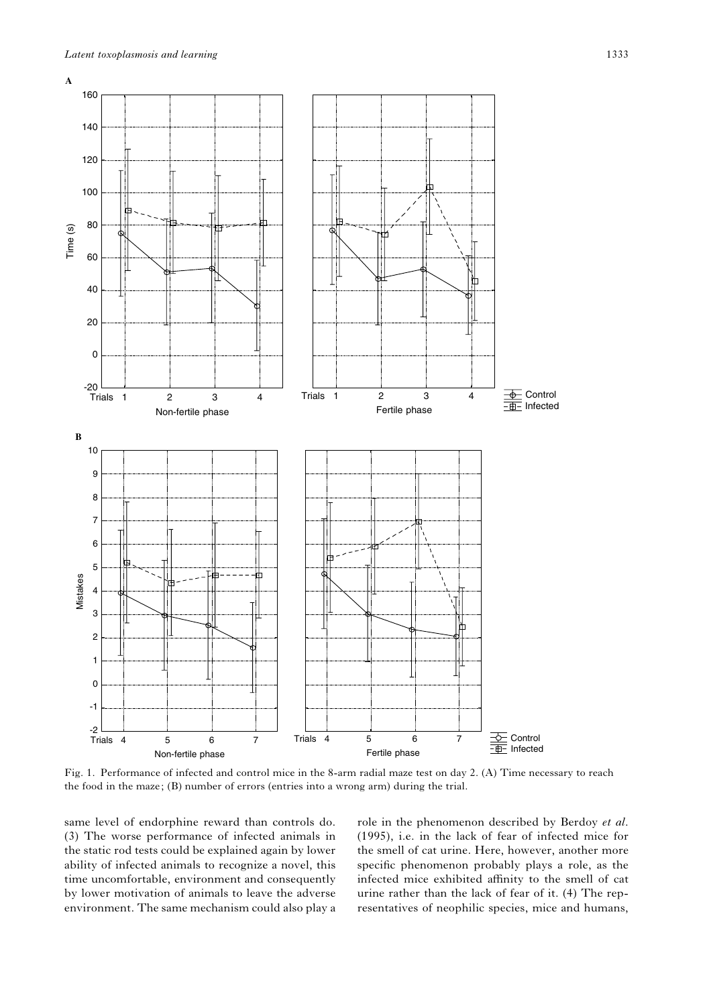

Fig. 1. Performance of infected and control mice in the 8-arm radial maze test on day 2. (A) Time necessary to reach the food in the maze; (B) number of errors (entries into a wrong arm) during the trial.

same level of endorphine reward than controls do. (3) The worse performance of infected animals in the static rod tests could be explained again by lower ability of infected animals to recognize a novel, this time uncomfortable, environment and consequently by lower motivation of animals to leave the adverse environment. The same mechanism could also play a

role in the phenomenon described by Berdoy et al. (1995), i.e. in the lack of fear of infected mice for the smell of cat urine. Here, however, another more specific phenomenon probably plays a role, as the infected mice exhibited affinity to the smell of cat urine rather than the lack of fear of it. (4) The representatives of neophilic species, mice and humans,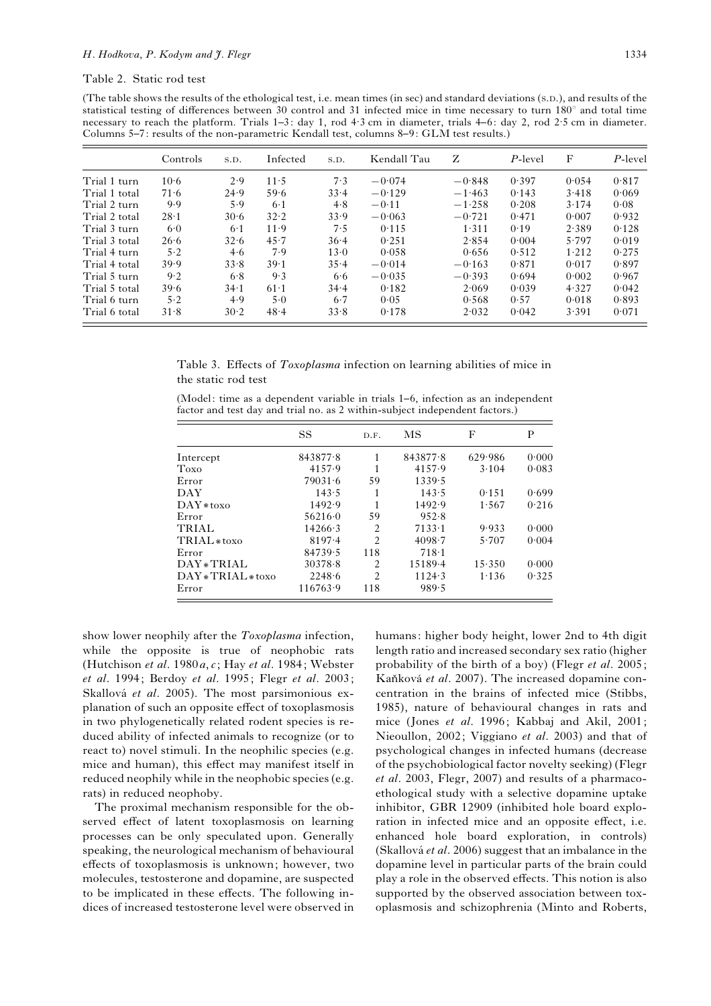Table 2. Static rod test

(The table shows the results of the ethological test, i.e. mean times (in sec) and standard deviations (S.D.), and results of the statistical testing of differences between 30 control and 31 infected mice in time necessary to turn  $180^\circ$  and total time necessary to reach the platform. Trials 1–3: day 1, rod 4. 3 cm in diameter, trials 4–6: day 2, rod 2. 5 cm in diameter. Columns 5–7: results of the non-parametric Kendall test, columns 8–9: GLM test results.)

|               | Controls | S.D.  | Infected | S.D.  | Kendall Tau | Z        | P-level | F     | $P$ -level |
|---------------|----------|-------|----------|-------|-------------|----------|---------|-------|------------|
| Trial 1 turn  | 10.6     | 2.9   | 11.5     | 7.3   | $-0.074$    | $-0.848$ | 0.397   | 0.054 | 0.817      |
| Trial 1 total | 71.6     | 24.9  | 59.6     | 33.4  | $-0.129$    | $-1.463$ | 0.143   | 3.418 | 0.069      |
| Trial 2 turn  | 9.9      | 5.9   | $6-1$    | 4.8   | $-0.11$     | $-1.258$ | 0.208   | 3.174 | 0.08       |
| Trial 2 total | 28.1     | 30.6  | 32.2     | 33.9  | $-0.063$    | $-0.721$ | 0.471   | 0.007 | 0.932      |
| Trial 3 turn  | 6.0      | $6-1$ | 11.9     | 7.5   | 0.115       | 1.311    | 0.19    | 2.389 | 0.128      |
| Trial 3 total | 26.6     | 32.6  | 45.7     | 36.4  | 0.251       | 2.854    | 0.004   | 5.797 | 0.019      |
| Trial 4 turn  | 5.2      | 4.6   | 7.9      | 13.0  | 0.058       | 0.656    | 0.512   | 1.212 | 0.275      |
| Trial 4 total | 39.9     | 33.8  | 39.1     | 35.4  | $-0.014$    | $-0.163$ | 0.871   | 0.017 | 0.897      |
| Trial 5 turn  | 9.2      | 6.8   | 9.3      | 6.6   | $-0.035$    | $-0.393$ | 0.694   | 0.002 | 0.967      |
| Trial 5 total | 39.6     | 34.1  | $61-1$   | 34.4  | 0.182       | 2.069    | 0.039   | 4.327 | 0.042      |
| Trial 6 turn  | 5.2      | 4.9   | 5.0      | $6-7$ | 0.05        | 0.568    | 0.57    | 0.018 | 0.893      |
| Trial 6 total | 31.8     | 30.2  | 48.4     | 33.8  | 0.178       | 2.032    | 0.042   | 3.391 | 0.071      |

Table 3. Effects of Toxoplasma infection on learning abilities of mice in the static rod test

(Model: time as a dependent variable in trials 1–6, infection as an independent factor and test day and trial no. as 2 within-subject independent factors.)

|                        | <b>SS</b>       | D.F.           | MS          | F       | P     |
|------------------------|-----------------|----------------|-------------|---------|-------|
| Intercept              | 843877.8        |                | 843877.8    | 629.986 | 0.000 |
| Toxo                   | 4157.9          |                | 4157.9      | 3.104   | 0.083 |
| Error                  | 79031.6         | 59             | 1339.5      |         |       |
| DAY                    | 143.5           |                | 143.5       | 0.151   | 0.699 |
| $DAY*toxo$             | 1492.9          |                | 1492.9      | 1.567   | 0.216 |
| Error                  | 56216.0         | 59             | 952.8       |         |       |
| <b>TRIAL</b>           | $14266 \cdot 3$ | $\mathfrak{D}$ | 7133.1      | 9.933   | 0.000 |
| TRIAL <sub>*toxo</sub> | $8197 - 4$      | $\mathfrak{D}$ | 4098.7      | 5.707   | 0.004 |
| Error                  | 84739.5         | 118            | 718.1       |         |       |
| DAY * TRIAL            | 30378.8         | $\mathfrak{D}$ | $15189 - 4$ | 15.350  | 0.000 |
| DAY*TRIAL*toxo         | 2248.6          | $\mathfrak{D}$ | 1124.3      | 1.136   | 0.325 |
| Error                  | 116763.9        | 118            | 989.5       |         |       |

show lower neophily after the Toxoplasma infection, while the opposite is true of neophobic rats (Hutchison et al. 1980 $a, c$ ; Hay et al. 1984; Webster et al. 1994; Berdoy et al. 1995; Flegr et al. 2003; Skallová et al. 2005). The most parsimonious explanation of such an opposite effect of toxoplasmosis in two phylogenetically related rodent species is reduced ability of infected animals to recognize (or to react to) novel stimuli. In the neophilic species (e.g. mice and human), this effect may manifest itself in reduced neophily while in the neophobic species (e.g. rats) in reduced neophoby.

The proximal mechanism responsible for the observed effect of latent toxoplasmosis on learning processes can be only speculated upon. Generally speaking, the neurological mechanism of behavioural effects of toxoplasmosis is unknown; however, two molecules, testosterone and dopamine, are suspected to be implicated in these effects. The following indices of increased testosterone level were observed in

humans: higher body height, lower 2nd to 4th digit length ratio and increased secondary sex ratio (higher probability of the birth of a boy) (Flegr et al. 2005; Kaňková et al. 2007). The increased dopamine concentration in the brains of infected mice (Stibbs, 1985), nature of behavioural changes in rats and mice (Jones et al. 1996; Kabbaj and Akil, 2001; Nieoullon, 2002; Viggiano et al. 2003) and that of psychological changes in infected humans (decrease of the psychobiological factor novelty seeking) (Flegr et al. 2003, Flegr, 2007) and results of a pharmacoethological study with a selective dopamine uptake inhibitor, GBR 12909 (inhibited hole board exploration in infected mice and an opposite effect, i.e. enhanced hole board exploration, in controls) (Skallová et al. 2006) suggest that an imbalance in the dopamine level in particular parts of the brain could play a role in the observed effects. This notion is also supported by the observed association between toxoplasmosis and schizophrenia (Minto and Roberts,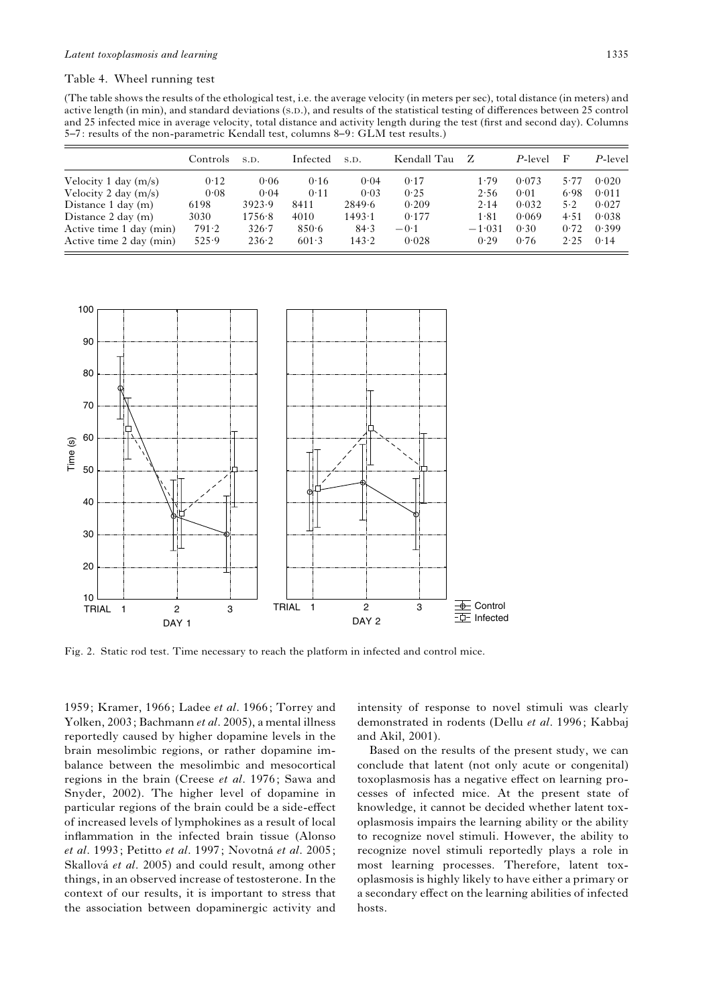# Table 4. Wheel running test

(The table shows the results of the ethological test, i.e. the average velocity (in meters per sec), total distance (in meters) and active length (in min), and standard deviations (S.D.), and results of the statistical testing of differences between 25 control and 25 infected mice in average velocity, total distance and activity length during the test (first and second day). Columns 5–7: results of the non-parametric Kendall test, columns 8–9: GLM test results.)

|                              | Controls. | S.D.      | Infected | S.D.           | Kendall Tau | Z        | P-level | F    | P-level |
|------------------------------|-----------|-----------|----------|----------------|-------------|----------|---------|------|---------|
| Velocity 1 day $(m/s)$       | 0.12      | 0.06      | 0.16     | 0.04           | 0.17        | 1.79     | 0.073   | 5.77 | 0.020   |
| Velocity 2 day $(m/s)$       | 0.08      | 0.04      | 0.11     | 0.03           | 0.25        | 2.56     | 0.01    | 6.98 | 0.011   |
| Distance $1 \text{ day (m)}$ | 6198      | 3923.9    | 8411     | 2849.6         | 0.209       | 2.14     | 0.032   | 5.2  | 0.027   |
| Distance $2 \text{ day (m)}$ | 3030      | 1756.8    | 4010     | $1493 \cdot 1$ | 0.177       | 1.81     | 0.069   | 4.51 | 0.038   |
| Active time 1 day (min)      | 791.2     | $326 - 7$ | 850.6    | 84.3           | $-0.1$      | $-1.031$ | 0.30    | 0.72 | 0.399   |
| Active time 2 day (min)      | 525.9     | 236.2     | 601.3    | 143.2          | 0.028       | 0.29     | 0.76    | 2.25 | 0.14    |



Fig. 2. Static rod test. Time necessary to reach the platform in infected and control mice.

1959; Kramer, 1966; Ladee et al. 1966; Torrey and Yolken, 2003; Bachmann et al. 2005), a mental illness reportedly caused by higher dopamine levels in the brain mesolimbic regions, or rather dopamine imbalance between the mesolimbic and mesocortical regions in the brain (Creese et al. 1976; Sawa and Snyder, 2002). The higher level of dopamine in particular regions of the brain could be a side-effect of increased levels of lymphokines as a result of local inflammation in the infected brain tissue (Alonso et al. 1993; Petitto et al. 1997; Novotná et al. 2005; Skallová et al. 2005) and could result, among other things, in an observed increase of testosterone. In the context of our results, it is important to stress that the association between dopaminergic activity and

intensity of response to novel stimuli was clearly demonstrated in rodents (Dellu et al. 1996; Kabbaj and Akil, 2001).

Based on the results of the present study, we can conclude that latent (not only acute or congenital) toxoplasmosis has a negative effect on learning processes of infected mice. At the present state of knowledge, it cannot be decided whether latent toxoplasmosis impairs the learning ability or the ability to recognize novel stimuli. However, the ability to recognize novel stimuli reportedly plays a role in most learning processes. Therefore, latent toxoplasmosis is highly likely to have either a primary or a secondary effect on the learning abilities of infected hosts.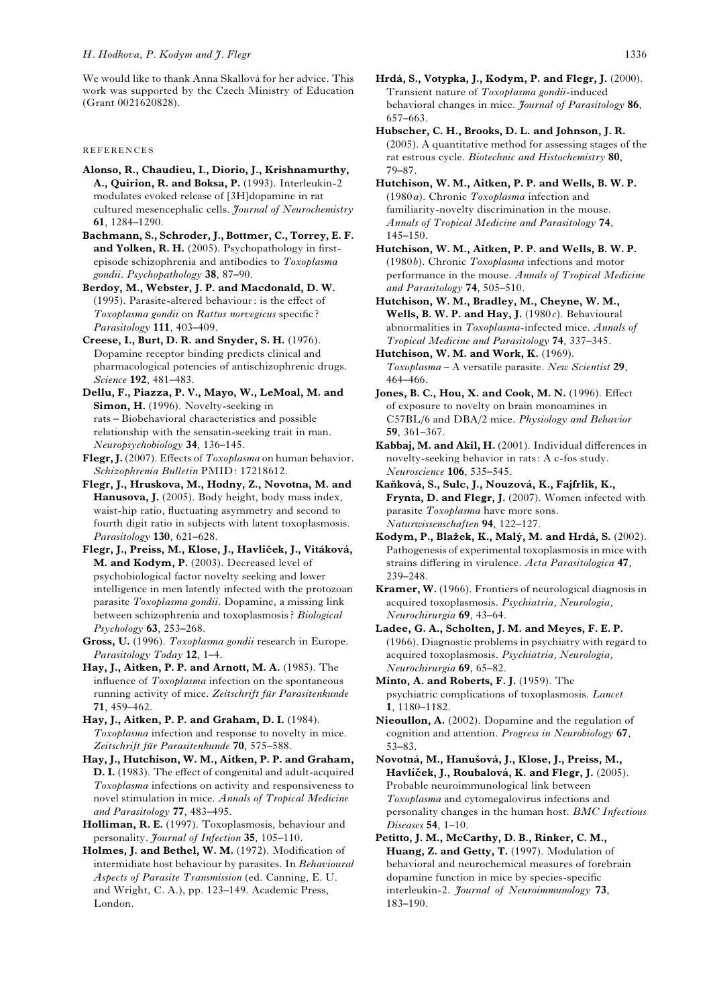We would like to thank Anna Skallová for her advice. This work was supported by the Czech Ministry of Education (Grant 0021620828).

REFERENCES

Alonso, R., Chaudieu, I., Diorio, J., Krishnamurthy, A., Quirion, R. and Boksa, P. (1993). Interleukin-2 modulates evoked release of [3H]dopamine in rat cultured mesencephalic cells. Journal of Neurochemistry 61, 1284–1290.

Bachmann, S., Schroder, J., Bottmer, C., Torrey, E. F. and Yolken, R. H. (2005). Psychopathology in firstepisode schizophrenia and antibodies to Toxoplasma gondii. Psychopathology 38, 87–90.

Berdoy, M., Webster, J. P. and Macdonald, D. W. (1995). Parasite-altered behaviour: is the effect of Toxoplasma gondii on Rattus norvegicus specific ? Parasitology 111, 403–409.

Creese, I., Burt, D. R. and Snyder, S. H. (1976). Dopamine receptor binding predicts clinical and pharmacological potencies of antischizophrenic drugs. Science 192, 481–483.

Dellu, F., Piazza, P. V., Mayo, W., LeMoal, M. and Simon, H. (1996). Novelty-seeking in rats – Biobehavioral characteristics and possible relationship with the sensatin-seeking trait in man. Neuropsychobiology 34, 136–145.

Flegr, J. (2007). Effects of Toxoplasma on human behavior. Schizophrenia Bulletin PMID: 17218612.

Flegr, J., Hruskova, M., Hodny, Z., Novotna, M. and Hanusova, J. (2005). Body height, body mass index, waist-hip ratio, fluctuating asymmetry and second to fourth digit ratio in subjects with latent toxoplasmosis. Parasitology 130, 621-628.

Flegr, J., Preiss, M., Klose, J., Havliček, J., Vitáková, M. and Kodym, P. (2003). Decreased level of psychobiological factor novelty seeking and lower intelligence in men latently infected with the protozoan parasite Toxoplasma gondii. Dopamine, a missing link between schizophrenia and toxoplasmosis ? Biological Psychology 63, 253–268.

Gross, U. (1996). Toxoplasma gondii research in Europe. Parasitology Today 12, 1–4.

Hay, J., Aitken, P. P. and Arnott, M. A. (1985). The influence of Toxoplasma infection on the spontaneous running activity of mice. Zeitschrift für Parasitenkunde 71, 459–462.

Hay, J., Aitken, P. P. and Graham, D. I. (1984). Toxoplasma infection and response to novelty in mice. Zeitschrift für Parasitenkunde 70, 575–588.

Hay, J., Hutchison, W. M., Aitken, P. P. and Graham, D. I. (1983). The effect of congenital and adult-acquired Toxoplasma infections on activity and responsiveness to novel stimulation in mice. Annals of Tropical Medicine and Parasitology 77, 483–495.

Holliman, R. E. (1997). Toxoplasmosis, behaviour and personality. Journal of Infection 35, 105-110.

Holmes, J. and Bethel, W. M. (1972). Modification of intermidiate host behaviour by parasites. In Behavioural Aspects of Parasite Transmission (ed. Canning, E. U. and Wright, C. A.), pp. 123–149. Academic Press, London.

Hrdá, S., Votypka, J., Kodym, P. and Flegr, J. (2000). Transient nature of Toxoplasma gondii-induced behavioral changes in mice. Journal of Parasitology 86, 657–663.

Hubscher, C. H., Brooks, D. L. and Johnson, J. R. (2005). A quantitative method for assessing stages of the rat estrous cycle. Biotechnic and Histochemistry 80, 79–87.

Hutchison, W. M., Aitken, P. P. and Wells, B. W. P. (1980a). Chronic Toxoplasma infection and familiarity-novelty discrimination in the mouse. Annals of Tropical Medicine and Parasitology 74, 145–150.

Hutchison, W. M., Aitken, P. P. and Wells, B. W. P. (1980b). Chronic Toxoplasma infections and motor performance in the mouse. Annals of Tropical Medicine and Parasitology 74, 505–510.

Hutchison, W. M., Bradley, M., Cheyne, W. M., Wells, B. W. P. and Hay, J.  $(1980c)$ . Behavioural abnormalities in Toxoplasma-infected mice. Annals of Tropical Medicine and Parasitology 74, 337–345.

Hutchison, W. M. and Work, K. (1969). Toxoplasma – A versatile parasite. New Scientist 29, 464–466.

Jones, B. C., Hou, X. and Cook, M. N. (1996). Effect of exposure to novelty on brain monoamines in C57BL/6 and DBA/2 mice. Physiology and Behavior 59, 361–367.

Kabbaj, M. and Akil, H. (2001). Individual differences in novelty-seeking behavior in rats: A c-fos study. Neuroscience 106, 535–545.

Kaňková, S., Sulc, J., Nouzová, K., Fajfrlik, K., Frynta, D. and Flegr, J. (2007). Women infected with parasite Toxoplasma have more sons. Naturwissenschaften 94, 122–127.

Kodym, P., Blažek, K., Malý, M. and Hrdá, S. (2002). Pathogenesis of experimental toxoplasmosis in mice with strains differing in virulence. Acta Parasitologica 47, 239–248.

Kramer, W. (1966). Frontiers of neurological diagnosis in acquired toxoplasmosis. Psychiatria, Neurologia, Neurochirurgia 69, 43–64.

Ladee, G. A., Scholten, J. M. and Meyes, F. E. P. (1966). Diagnostic problems in psychiatry with regard to acquired toxoplasmosis. Psychiatria, Neurologia, Neurochirurgia 69, 65–82.

Minto, A. and Roberts, F. J. (1959). The psychiatric complications of toxoplasmosis. Lancet 1, 1180–1182.

Nieoullon, A. (2002). Dopamine and the regulation of cognition and attention. Progress in Neurobiology 67, 53–83.

Novotná, M., Hanušová, J., Klose, J., Preiss, M., Havlíček, J., Roubalová, K. and Flegr, J. (2005). Probable neuroimmunological link between Toxoplasma and cytomegalovirus infections and personality changes in the human host. BMC Infectious Diseases 54, 1–10.

Petitto, J. M., McCarthy, D. B., Rinker, C. M., Huang, Z. and Getty, T. (1997). Modulation of behavioral and neurochemical measures of forebrain dopamine function in mice by species-specific interleukin-2. Journal of Neuroimmunology 73, 183–190.